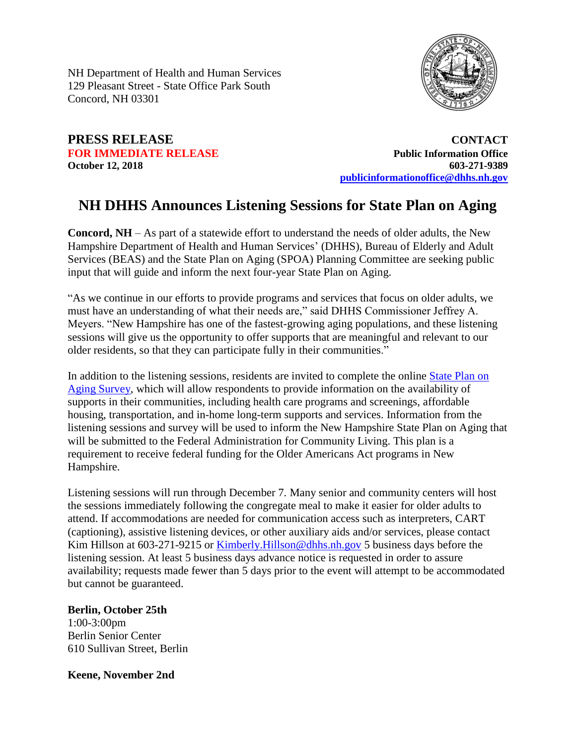NH Department of Health and Human Services 129 Pleasant Street - State Office Park South Concord, NH 03301



# **PRESS RELEASE CONTACT**

**FOR IMMEDIATE RELEASE** *Public Information Office* **October 12, 2018 603-271-9389 [publicinformationoffice@dhhs.nh.gov](mailto:publicinformationoffice@dhhs.nh.gov)**

## **NH DHHS Announces Listening Sessions for State Plan on Aging**

**Concord, NH** – As part of a statewide effort to understand the needs of older adults, the New Hampshire Department of Health and Human Services' (DHHS), Bureau of Elderly and Adult Services (BEAS) and the State Plan on Aging (SPOA) Planning Committee are seeking public input that will guide and inform the next four-year State Plan on Aging.

"As we continue in our efforts to provide programs and services that focus on older adults, we must have an understanding of what their needs are," said DHHS Commissioner Jeffrey A. Meyers. "New Hampshire has one of the fastest-growing aging populations, and these listening sessions will give us the opportunity to offer supports that are meaningful and relevant to our older residents, so that they can participate fully in their communities."

In addition to the listening sessions, residents are invited to complete the online [State Plan on](https://www.surveymonkey.com/r/NHSPOASurvey)  [Aging Survey,](https://www.surveymonkey.com/r/NHSPOASurvey) which will allow respondents to provide information on the availability of supports in their communities, including health care programs and screenings, affordable housing, transportation, and in-home long-term supports and services. Information from the listening sessions and survey will be used to inform the New Hampshire State Plan on Aging that will be submitted to the Federal Administration for Community Living. This plan is a requirement to receive federal funding for the Older Americans Act programs in New Hampshire.

Listening sessions will run through December 7. Many senior and community centers will host the sessions immediately following the congregate meal to make it easier for older adults to attend. If accommodations are needed for communication access such as interpreters, CART (captioning), assistive listening devices, or other auxiliary aids and/or services, please contact Kim Hillson at 603-271-9215 or [Kimberly.Hillson@dhhs.nh.gov](mailto:Kimberly.Hillson@dhhs.nh.gov) 5 business days before the listening session. At least 5 business days advance notice is requested in order to assure availability; requests made fewer than 5 days prior to the event will attempt to be accommodated but cannot be guaranteed.

#### **Berlin, October 25th**

1:00-3:00pm Berlin Senior Center 610 Sullivan Street, Berlin

**Keene, November 2nd**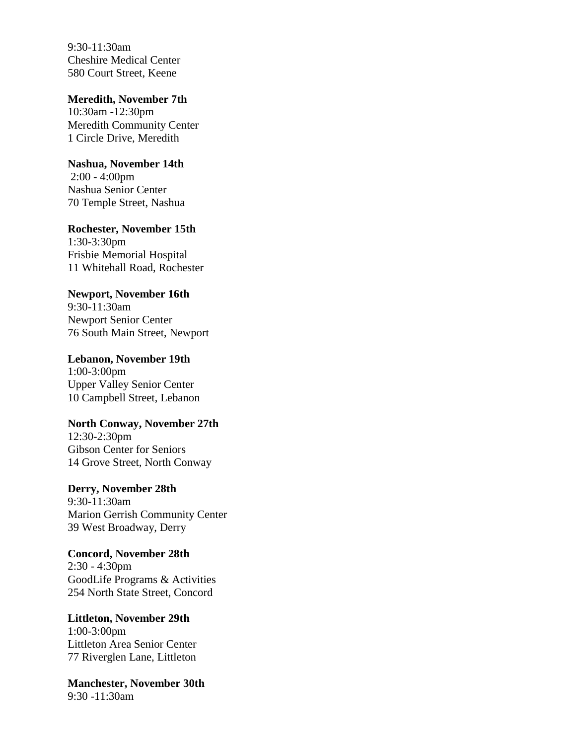9:30-11:30am Cheshire Medical Center 580 Court Street, Keene

#### **Meredith, November 7th**

10:30am -12:30pm Meredith Community Center 1 Circle Drive, Meredith

#### **Nashua, November 14th**

2:00 - 4:00pm Nashua Senior Center 70 Temple Street, Nashua

### **Rochester, November 15th**

1:30-3:30pm Frisbie Memorial Hospital 11 Whitehall Road, Rochester

#### **Newport, November 16th**

9:30-11:30am Newport Senior Center 76 South Main Street, Newport

#### **Lebanon, November 19th**

1:00-3:00pm Upper Valley Senior Center 10 Campbell Street, Lebanon

#### **North Conway, November 27th**

12:30-2:30pm Gibson Center for Seniors 14 Grove Street, North Conway

#### **Derry, November 28th**

9:30-11:30am Marion Gerrish Community Center 39 West Broadway, Derry

**Concord, November 28th** 2:30 - 4:30pm GoodLife Programs & Activities 254 North State Street, Concord

#### **Littleton, November 29th** 1:00-3:00pm Littleton Area Senior Center 77 Riverglen Lane, Littleton

**Manchester, November 30th** 9:30 -11:30am